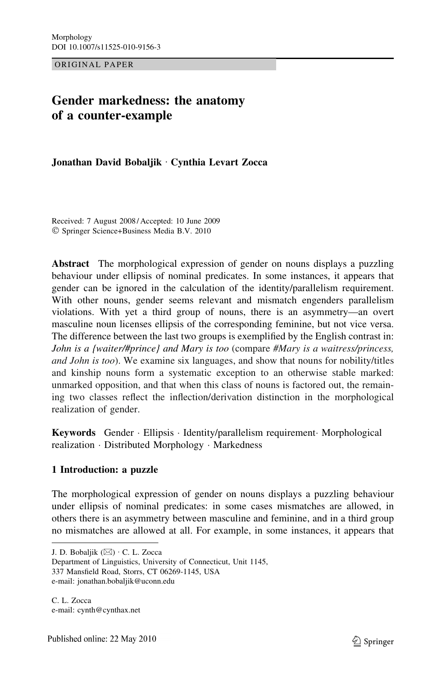ORIGINAL PAPER

# Gender markedness: the anatomy of a counter-example

Jonathan David Bobaljik · Cynthia Levart Zocca

Received: 7 August 2008 / Accepted: 10 June 2009 - Springer Science+Business Media B.V. 2010

Abstract The morphological expression of gender on nouns displays a puzzling behaviour under ellipsis of nominal predicates. In some instances, it appears that gender can be ignored in the calculation of the identity/parallelism requirement. With other nouns, gender seems relevant and mismatch engenders parallelism violations. With yet a third group of nouns, there is an asymmetry—an overt masculine noun licenses ellipsis of the corresponding feminine, but not vice versa. The difference between the last two groups is exemplified by the English contrast in: John is a {waiter/#prince} and Mary is too (compare #Mary is a waitress/princess, and John is too). We examine six languages, and show that nouns for nobility/titles and kinship nouns form a systematic exception to an otherwise stable marked: unmarked opposition, and that when this class of nouns is factored out, the remaining two classes reflect the inflection/derivation distinction in the morphological realization of gender.

Keywords Gender · Ellipsis · Identity/parallelism requirement Morphological realization - Distributed Morphology - Markedness

# 1 Introduction: a puzzle

The morphological expression of gender on nouns displays a puzzling behaviour under ellipsis of nominal predicates: in some cases mismatches are allowed, in others there is an asymmetry between masculine and feminine, and in a third group no mismatches are allowed at all. For example, in some instances, it appears that

J. D. Bobaljik  $(\boxtimes) \cdot C$ . L. Zocca

Department of Linguistics, University of Connecticut, Unit 1145, 337 Mansfield Road, Storrs, CT 06269-1145, USA e-mail: jonathan.bobaljik@uconn.edu

C. L. Zocca e-mail: cynth@cynthax.net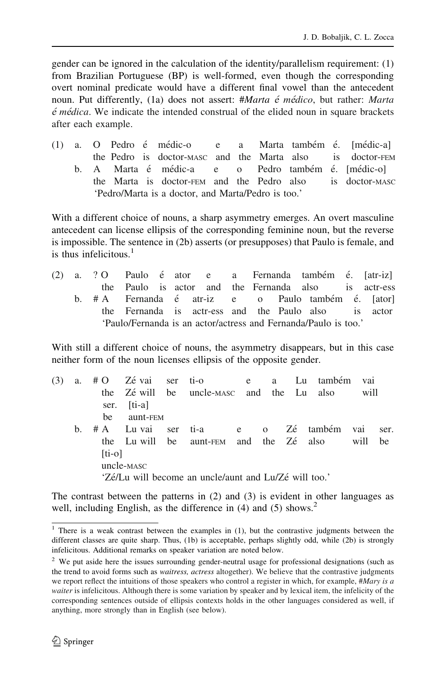gender can be ignored in the calculation of the identity/parallelism requirement: (1) from Brazilian Portuguese (BP) is well-formed, even though the corresponding overt nominal predicate would have a different final vowel than the antecedent noun. Put differently,  $(1a)$  does not assert: #*Marta é médico*, but rather: *Marta*  $\acute{e}$  mé $dica$ . We indicate the intended construal of the elided noun in square brackets after each example.

(1) a. O Pedro é médic-o e a Marta também é. [médic-a] the Pedro is doctor-MASC and the Marta also is doctor-FEM b. A Marta é médic-a e o Pedro também é. [médic-o] the Marta is doctor-FEM and the Pedro also is doctor-MASC 'Pedro/Marta is a doctor, and Marta/Pedro is too.'

With a different choice of nouns, a sharp asymmetry emerges. An overt masculine antecedent can license ellipsis of the corresponding feminine noun, but the reverse is impossible. The sentence in (2b) asserts (or presupposes) that Paulo is female, and is thus infelicitous. $<sup>1</sup>$ </sup>

(2) a. ? O Paulo é ator e a Fernanda também é. [atr-iz] the Paulo is actor and the Fernanda also is actr-ess b. # A Fernanda é atr-iz e o Paulo também é. [ator] the Fernanda is actr-ess and the Paulo also is actor 'Paulo/Fernanda is an actor/actress and Fernanda/Paulo is too.'

With still a different choice of nouns, the asymmetry disappears, but in this case neither form of the noun licenses ellipsis of the opposite gender.

| (3)                                                   | a. |          |             |  | #O Zévai ser ti-o e a Lu também vai       |  |  |  |         |      |
|-------------------------------------------------------|----|----------|-------------|--|-------------------------------------------|--|--|--|---------|------|
|                                                       |    |          |             |  | the Zé will be uncle-masc and the Lu also |  |  |  | will    |      |
|                                                       |    |          | ser. [ti-a] |  |                                           |  |  |  |         |      |
|                                                       |    | be       | aunt-FEM    |  |                                           |  |  |  |         |      |
|                                                       | b. |          |             |  | # A Luvai ser ti-a e o Zé também vai      |  |  |  |         | ser. |
|                                                       |    |          |             |  | the Lu will be aunt-FEM and the Zé also   |  |  |  | will be |      |
|                                                       |    | $[ti-o]$ |             |  |                                           |  |  |  |         |      |
|                                                       |    |          | uncle-MASC  |  |                                           |  |  |  |         |      |
| 'Zé/Lu will become an uncle/aunt and Lu/Zé will too.' |    |          |             |  |                                           |  |  |  |         |      |

The contrast between the patterns in (2) and (3) is evident in other languages as well, including English, as the difference in  $(4)$  and  $(5)$  shows.<sup>2</sup>

<sup>&</sup>lt;sup>1</sup> There is a weak contrast between the examples in  $(1)$ , but the contrastive judgments between the different classes are quite sharp. Thus, (1b) is acceptable, perhaps slightly odd, while (2b) is strongly infelicitous. Additional remarks on speaker variation are noted below.

<sup>&</sup>lt;sup>2</sup> We put aside here the issues surrounding gender-neutral usage for professional designations (such as the trend to avoid forms such as waitress, actress altogether). We believe that the contrastive judgments we report reflect the intuitions of those speakers who control a register in which, for example, #Mary is a waiter is infelicitous. Although there is some variation by speaker and by lexical item, the infelicity of the corresponding sentences outside of ellipsis contexts holds in the other languages considered as well, if anything, more strongly than in English (see below).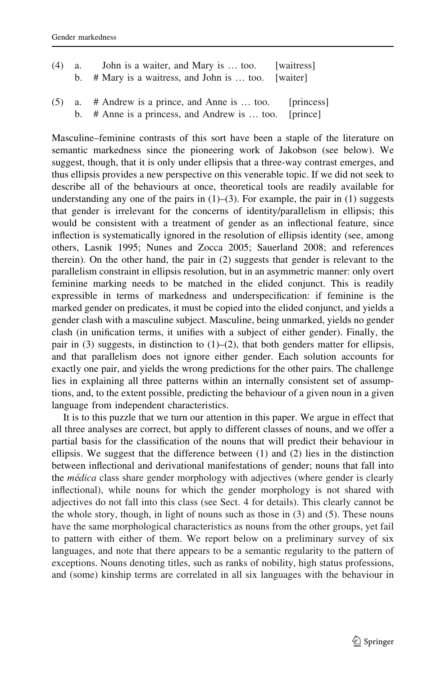| $(4)$ a. | John is a waiter, and Mary is  too.                   | [waitress] |
|----------|-------------------------------------------------------|------------|
|          | b. $#$ Mary is a waitress, and John is  too. [waiter] |            |

(5) a. # Andrew is a prince, and Anne is … too. [princess] b. # Anne is a princess, and Andrew is … too. [prince]

Masculine–feminine contrasts of this sort have been a staple of the literature on semantic markedness since the pioneering work of Jakobson (see below). We suggest, though, that it is only under ellipsis that a three-way contrast emerges, and thus ellipsis provides a new perspective on this venerable topic. If we did not seek to describe all of the behaviours at once, theoretical tools are readily available for understanding any one of the pairs in  $(1)$ – $(3)$ . For example, the pair in  $(1)$  suggests that gender is irrelevant for the concerns of identity/parallelism in ellipsis; this would be consistent with a treatment of gender as an inflectional feature, since inflection is systematically ignored in the resolution of ellipsis identity (see, among others, Lasnik 1995; Nunes and Zocca 2005; Sauerland 2008; and references therein). On the other hand, the pair in (2) suggests that gender is relevant to the parallelism constraint in ellipsis resolution, but in an asymmetric manner: only overt feminine marking needs to be matched in the elided conjunct. This is readily expressible in terms of markedness and underspecification: if feminine is the marked gender on predicates, it must be copied into the elided conjunct, and yields a gender clash with a masculine subject. Masculine, being unmarked, yields no gender clash (in unification terms, it unifies with a subject of either gender). Finally, the pair in  $(3)$  suggests, in distinction to  $(1)$ – $(2)$ , that both genders matter for ellipsis, and that parallelism does not ignore either gender. Each solution accounts for exactly one pair, and yields the wrong predictions for the other pairs. The challenge lies in explaining all three patterns within an internally consistent set of assumptions, and, to the extent possible, predicting the behaviour of a given noun in a given language from independent characteristics.

It is to this puzzle that we turn our attention in this paper. We argue in effect that all three analyses are correct, but apply to different classes of nouns, and we offer a partial basis for the classification of the nouns that will predict their behaviour in ellipsis. We suggest that the difference between (1) and (2) lies in the distinction between inflectional and derivational manifestations of gender; nouns that fall into the *médica* class share gender morphology with adjectives (where gender is clearly inflectional), while nouns for which the gender morphology is not shared with adjectives do not fall into this class (see Sect. 4 for details). This clearly cannot be the whole story, though, in light of nouns such as those in (3) and (5). These nouns have the same morphological characteristics as nouns from the other groups, yet fail to pattern with either of them. We report below on a preliminary survey of six languages, and note that there appears to be a semantic regularity to the pattern of exceptions. Nouns denoting titles, such as ranks of nobility, high status professions, and (some) kinship terms are correlated in all six languages with the behaviour in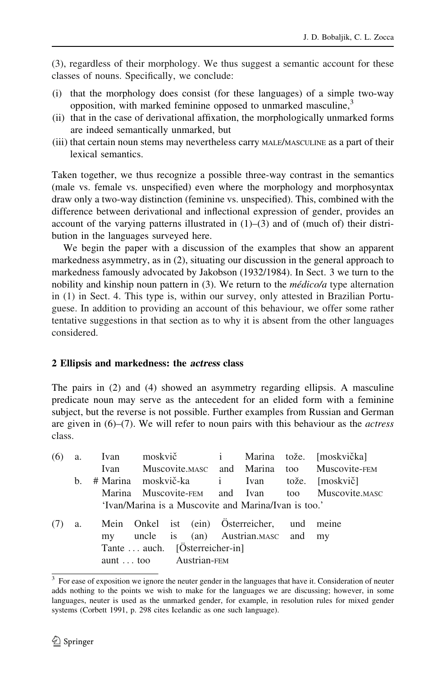(3), regardless of their morphology. We thus suggest a semantic account for these classes of nouns. Specifically, we conclude:

- (i) that the morphology does consist (for these languages) of a simple two-way opposition, with marked feminine opposed to unmarked masculine,<sup>3</sup>
- (ii) that in the case of derivational affixation, the morphologically unmarked forms are indeed semantically unmarked, but
- (iii) that certain noun stems may nevertheless carry MALE/MASCULINE as a part of their lexical semantics.

Taken together, we thus recognize a possible three-way contrast in the semantics (male vs. female vs. unspecified) even where the morphology and morphosyntax draw only a two-way distinction (feminine vs. unspecified). This, combined with the difference between derivational and inflectional expression of gender, provides an account of the varying patterns illustrated in  $(1)$ – $(3)$  and of (much of) their distribution in the languages surveyed here.

We begin the paper with a discussion of the examples that show an apparent markedness asymmetry, as in (2), situating our discussion in the general approach to markedness famously advocated by Jakobson (1932/1984). In Sect. 3 we turn to the nobility and kinship noun pattern in  $(3)$ . We return to the *médico/a* type alternation in (1) in Sect. 4. This type is, within our survey, only attested in Brazilian Portuguese. In addition to providing an account of this behaviour, we offer some rather tentative suggestions in that section as to why it is absent from the other languages considered.

# 2 Ellipsis and markedness: the actress class

The pairs in (2) and (4) showed an asymmetry regarding ellipsis. A masculine predicate noun may serve as the antecedent for an elided form with a feminine subject, but the reverse is not possible. Further examples from Russian and German are given in  $(6)$ – $(7)$ . We will refer to noun pairs with this behaviour as the *actress* class.

| (6)                   |    |                                |  |  |  |  |                                                      | a. Ivan moskvič i Marina tože. [moskvička]       |
|-----------------------|----|--------------------------------|--|--|--|--|------------------------------------------------------|--------------------------------------------------|
|                       |    |                                |  |  |  |  |                                                      | Ivan Muscovite.MASC and Marina too Muscovite-FEM |
|                       | b. |                                |  |  |  |  |                                                      | # Marina moskvič-ka i Ivan tože. [moskvič]       |
|                       |    |                                |  |  |  |  |                                                      | Marina Muscovite-FEM and Ivan too Muscovite.MASC |
|                       |    |                                |  |  |  |  | 'Ivan/Marina is a Muscovite and Marina/Ivan is too.' |                                                  |
|                       | a. |                                |  |  |  |  | Mein Onkel ist (ein) Österreicher, und meine         |                                                  |
|                       |    |                                |  |  |  |  | my uncle is (an) Austrian.MASC and my                |                                                  |
|                       |    | Tante  auch. [Österreicher-in] |  |  |  |  |                                                      |                                                  |
| aunt too Austrian-FEM |    |                                |  |  |  |  |                                                      |                                                  |

<sup>&</sup>lt;sup>3</sup> For ease of exposition we ignore the neuter gender in the languages that have it. Consideration of neuter adds nothing to the points we wish to make for the languages we are discussing; however, in some languages, neuter is used as the unmarked gender, for example, in resolution rules for mixed gender systems (Corbett 1991, p. 298 cites Icelandic as one such language).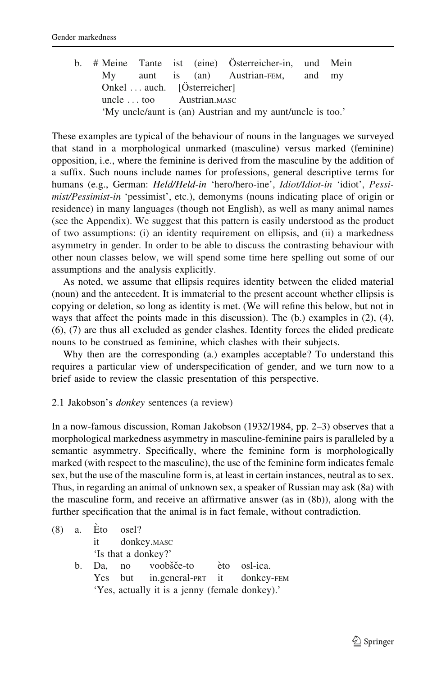|  |                             |  | b. # Meine Tante ist (eine) Österreicher-in, und Mein      |  |
|--|-----------------------------|--|------------------------------------------------------------|--|
|  |                             |  | My aunt is (an) Austrian-FEM, and my                       |  |
|  | Onkel  auch. [Osterreicher] |  |                                                            |  |
|  | uncle  too Austrian.MASC    |  |                                                            |  |
|  |                             |  | 'My uncle/aunt is (an) Austrian and my aunt/uncle is too.' |  |

These examples are typical of the behaviour of nouns in the languages we surveyed that stand in a morphological unmarked (masculine) versus marked (feminine) opposition, i.e., where the feminine is derived from the masculine by the addition of a suffix. Such nouns include names for professions, general descriptive terms for humans (e.g., German: Held/Held-in 'hero/hero-ine', Idiot/Idiot-in 'idiot', Pessimist/Pessimist-in 'pessimist', etc.), demonyms (nouns indicating place of origin or residence) in many languages (though not English), as well as many animal names (see the Appendix). We suggest that this pattern is easily understood as the product of two assumptions: (i) an identity requirement on ellipsis, and (ii) a markedness asymmetry in gender. In order to be able to discuss the contrasting behaviour with other noun classes below, we will spend some time here spelling out some of our assumptions and the analysis explicitly.

As noted, we assume that ellipsis requires identity between the elided material (noun) and the antecedent. It is immaterial to the present account whether ellipsis is copying or deletion, so long as identity is met. (We will refine this below, but not in ways that affect the points made in this discussion). The (b.) examples in (2), (4), (6), (7) are thus all excluded as gender clashes. Identity forces the elided predicate nouns to be construed as feminine, which clashes with their subjects.

Why then are the corresponding (a.) examples acceptable? To understand this requires a particular view of underspecification of gender, and we turn now to a brief aside to review the classic presentation of this perspective.

### 2.1 Jakobson's donkey sentences (a review)

In a now-famous discussion, Roman Jakobson (1932/1984, pp. 2–3) observes that a morphological markedness asymmetry in masculine-feminine pairs is paralleled by a semantic asymmetry. Specifically, where the feminine form is morphologically marked (with respect to the masculine), the use of the feminine form indicates female sex, but the use of the masculine form is, at least in certain instances, neutral as to sex. Thus, in regarding an animal of unknown sex, a speaker of Russian may ask (8a) with the masculine form, and receive an affirmative answer (as in (8b)), along with the further specification that the animal is in fact female, without contradiction.

|  | $(8)$ a. Eto osel? |                                                |  |
|--|--------------------|------------------------------------------------|--|
|  |                    | it donkey. MASC                                |  |
|  |                    | 'Is that a donkey?'                            |  |
|  |                    | b. Da. no voobšče-to èto osl-ica.              |  |
|  |                    | Yes but in.general-PRT it donkey-FEM           |  |
|  |                    | 'Yes, actually it is a jenny (female donkey).' |  |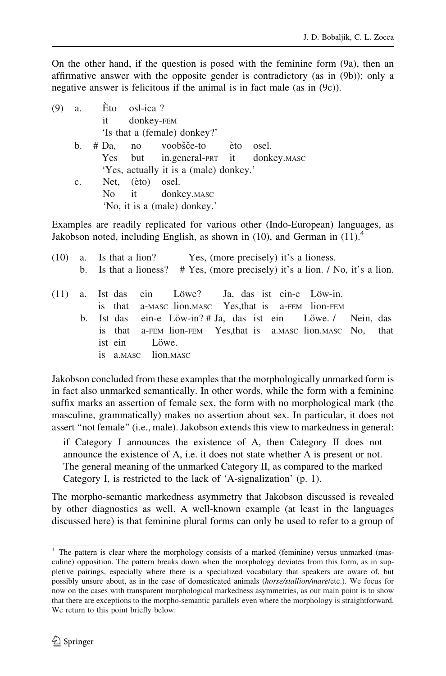On the other hand, if the question is posed with the feminine form (9a), then an affirmative answer with the opposite gender is contradictory (as in (9b)); only a negative answer is felicitous if the animal is in fact male (as in (9c)).

| (9) | а.             | Eto osl-ica? |                              |                                        |  |       |  |  |  |  |  |  |
|-----|----------------|--------------|------------------------------|----------------------------------------|--|-------|--|--|--|--|--|--|
|     |                |              |                              | it donkey-FEM                          |  |       |  |  |  |  |  |  |
|     |                |              | 'Is that a (female) donkey?' |                                        |  |       |  |  |  |  |  |  |
|     | b.             |              |                              | # Da, no voobšče-to èto                |  | osel. |  |  |  |  |  |  |
|     |                |              |                              | Yes but in.general-PRT it donkey.MASC  |  |       |  |  |  |  |  |  |
|     |                |              |                              | 'Yes, actually it is a (male) donkey.' |  |       |  |  |  |  |  |  |
|     | $\mathbf{c}$ . |              | Net, (èto) osel.             |                                        |  |       |  |  |  |  |  |  |
|     |                |              |                              | No it donkey. MASC                     |  |       |  |  |  |  |  |  |
|     |                |              |                              | 'No, it is a (male) donkey.'           |  |       |  |  |  |  |  |  |

Examples are readily replicated for various other (Indo-European) languages, as Jakobson noted, including English, as shown in (10), and German in  $(11)<sup>4</sup>$ 

|  | (10) a. Is that a lion? Yes, (more precisely) it's a lioness.                                                                                                          |
|--|------------------------------------------------------------------------------------------------------------------------------------------------------------------------|
|  | b. Is that a lioness? $# Yes$ , (more precisely) it's a lion. / No, it's a lion.                                                                                       |
|  | (11) a. Ist das ein Löwe? Ja, das ist ein-e Löw-in.<br>is that a-MASC lion.MASC Yes, that is a-FEM lion-FEM                                                            |
|  | b. Ist das ein-e Löw-in? # Ja, das ist ein Löwe. / Nein, das<br>is that a-FEM lion-FEM Yes, that is a MASC lion. MASC No, that<br>ist ein Löwe.<br>is a.masc lion.masc |

Jakobson concluded from these examples that the morphologically unmarked form is in fact also unmarked semantically. In other words, while the form with a feminine suffix marks an assertion of female sex, the form with no morphological mark (the masculine, grammatically) makes no assertion about sex. In particular, it does not assert ''not female'' (i.e., male). Jakobson extends this view to markedness in general:

if Category I announces the existence of A, then Category II does not announce the existence of A, i.e. it does not state whether A is present or not. The general meaning of the unmarked Category II, as compared to the marked Category I, is restricted to the lack of 'A-signalization' (p. 1).

The morpho-semantic markedness asymmetry that Jakobson discussed is revealed by other diagnostics as well. A well-known example (at least in the languages discussed here) is that feminine plural forms can only be used to refer to a group of

<sup>4</sup> The pattern is clear where the morphology consists of a marked (feminine) versus unmarked (masculine) opposition. The pattern breaks down when the morphology deviates from this form, as in suppletive pairings, especially where there is a specialized vocabulary that speakers are aware of, but possibly unsure about, as in the case of domesticated animals (horse/stallion/mare/etc.). We focus for now on the cases with transparent morphological markedness asymmetries, as our main point is to show that there are exceptions to the morpho-semantic parallels even where the morphology is straightforward. We return to this point briefly below.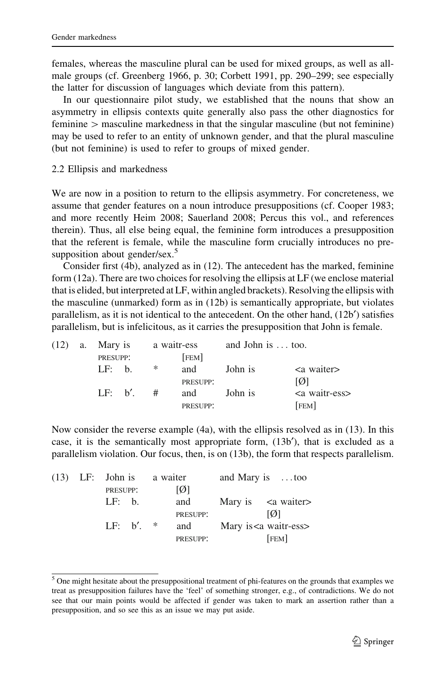females, whereas the masculine plural can be used for mixed groups, as well as allmale groups (cf. Greenberg 1966, p. 30; Corbett 1991, pp. 290–299; see especially the latter for discussion of languages which deviate from this pattern).

In our questionnaire pilot study, we established that the nouns that show an asymmetry in ellipsis contexts quite generally also pass the other diagnostics for  $f$  feminine  $\geq$  masculine markedness in that the singular masculine (but not feminine) may be used to refer to an entity of unknown gender, and that the plural masculine (but not feminine) is used to refer to groups of mixed gender.

2.2 Ellipsis and markedness

We are now in a position to return to the ellipsis asymmetry. For concreteness, we assume that gender features on a noun introduce presuppositions (cf. Cooper 1983; and more recently Heim 2008; Sauerland 2008; Percus this vol., and references therein). Thus, all else being equal, the feminine form introduces a presupposition that the referent is female, while the masculine form crucially introduces no presupposition about gender/sex. $5$ 

Consider first (4b), analyzed as in (12). The antecedent has the marked, feminine form (12a). There are two choices for resolving the ellipsis at LF (we enclose material that is elided, but interpreted at LF, within angled brackets). Resolving the ellipsis with the masculine (unmarked) form as in (12b) is semantically appropriate, but violates parallelism, as it is not identical to the antecedent. On the other hand,  $(12b')$  satisfies parallelism, but is infelicitous, as it carries the presupposition that John is female.

|  | $(12)$ a. Mary is |            |   | a waitr-ess     | and John is  too. |                              |  |  |
|--|-------------------|------------|---|-----------------|-------------------|------------------------------|--|--|
|  | PRESUPP:          |            |   | <b>FEM</b>      |                   |                              |  |  |
|  | LF: h.            |            | ∗ | and             | John is           | $\langle$ a waiter $\rangle$ |  |  |
|  |                   |            |   | <b>PRESUPP:</b> |                   | [Ø]                          |  |  |
|  |                   | $LF: b'$ . | # | and             | John is           | $\alpha$ waitr-ess>          |  |  |
|  |                   |            |   | PRESUPP:        |                   | [FEM]                        |  |  |

Now consider the reverse example (4a), with the ellipsis resolved as in (13). In this case, it is the semantically most appropriate form,  $(13b')$ , that is excluded as a parallelism violation. Our focus, then, is on (13b), the form that respects parallelism.

|  | $(13)$ LF: John is a waiter |            |                 | and Mary is too |                              |  |
|--|-----------------------------|------------|-----------------|-----------------|------------------------------|--|
|  | PRESUPP:                    |            | [Ø]             |                 |                              |  |
|  | LF: h.                      |            | and             |                 | Mary is $\leq a$ waiter      |  |
|  |                             |            | <b>PRESUPP:</b> |                 | <b>M</b>                     |  |
|  |                             | $IF: h'$ * | and             |                 | Mary is <a waitr-ess=""></a> |  |
|  |                             |            | <b>PRESUPP:</b> |                 | <b>FEM</b>                   |  |

<sup>&</sup>lt;sup>5</sup> One might hesitate about the presuppositional treatment of phi-features on the grounds that examples we treat as presupposition failures have the 'feel' of something stronger, e.g., of contradictions. We do not see that our main points would be affected if gender was taken to mark an assertion rather than a presupposition, and so see this as an issue we may put aside.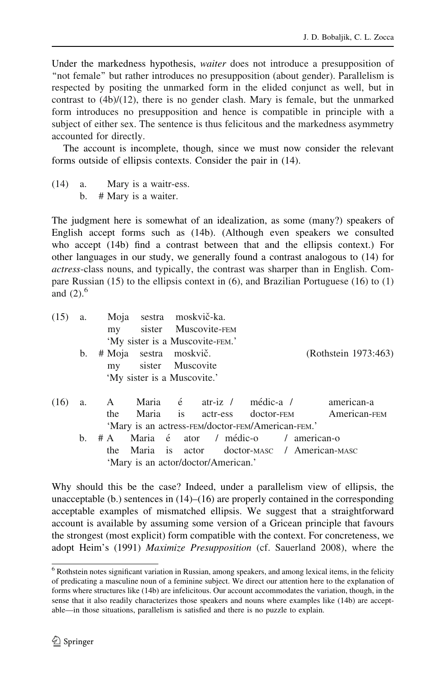Under the markedness hypothesis, waiter does not introduce a presupposition of ''not female'' but rather introduces no presupposition (about gender). Parallelism is respected by positing the unmarked form in the elided conjunct as well, but in contrast to  $(4b)/(12)$ , there is no gender clash. Mary is female, but the unmarked form introduces no presupposition and hence is compatible in principle with a subject of either sex. The sentence is thus felicitous and the markedness asymmetry accounted for directly.

The account is incomplete, though, since we must now consider the relevant forms outside of ellipsis contexts. Consider the pair in (14).

(14) a. Mary is a waitr-ess. b. # Mary is a waiter.

The judgment here is somewhat of an idealization, as some (many?) speakers of English accept forms such as (14b). (Although even speakers we consulted who accept (14b) find a contrast between that and the ellipsis context.) For other languages in our study, we generally found a contrast analogous to (14) for actress-class nouns, and typically, the contrast was sharper than in English. Compare Russian  $(15)$  to the ellipsis context in  $(6)$ , and Brazilian Portuguese  $(16)$  to  $(1)$ and  $(2)$ ,  $<sup>6</sup>$ </sup>

| (15) | a. |     | Moja sestra moskvič-ka.                       |                                 |                                                   |                                           |  |
|------|----|-----|-----------------------------------------------|---------------------------------|---------------------------------------------------|-------------------------------------------|--|
|      |    |     |                                               | my sister Muscovite-FEM         |                                                   |                                           |  |
|      |    |     |                                               | 'My sister is a Muscovite-FEM.' |                                                   |                                           |  |
|      | b. |     | # Moja sestra moskvič.<br>my sister Muscovite |                                 |                                                   | (Rothstein 1973:463)                      |  |
|      |    |     | 'My sister is a Muscovite.'                   |                                 |                                                   |                                           |  |
| (16) | a. |     |                                               |                                 |                                                   | A Maria é atr-iz / médic-a / american-a   |  |
|      |    | the |                                               |                                 |                                                   | Maria is actr-ess doctor-FEM American-FEM |  |
|      |    |     |                                               |                                 | 'Mary is an actress-FEM/doctor-FEM/American-FEM.' |                                           |  |
|      | b. |     |                                               |                                 | # A Maria é ator / médic-o / american-o           |                                           |  |
|      |    |     |                                               |                                 | the Merie is ector dector use American uses       |                                           |  |

the Maria is actor doctor-MASC / American-MASC 'Mary is an actor/doctor/American.'

Why should this be the case? Indeed, under a parallelism view of ellipsis, the unacceptable (b.) sentences in (14)–(16) are properly contained in the corresponding acceptable examples of mismatched ellipsis. We suggest that a straightforward account is available by assuming some version of a Gricean principle that favours the strongest (most explicit) form compatible with the context. For concreteness, we adopt Heim's (1991) Maximize Presupposition (cf. Sauerland 2008), where the

<sup>&</sup>lt;sup>6</sup> Rothstein notes significant variation in Russian, among speakers, and among lexical items, in the felicity of predicating a masculine noun of a feminine subject. We direct our attention here to the explanation of forms where structures like (14b) are infelicitous. Our account accommodates the variation, though, in the sense that it also readily characterizes those speakers and nouns where examples like (14b) are acceptable—in those situations, parallelism is satisfied and there is no puzzle to explain.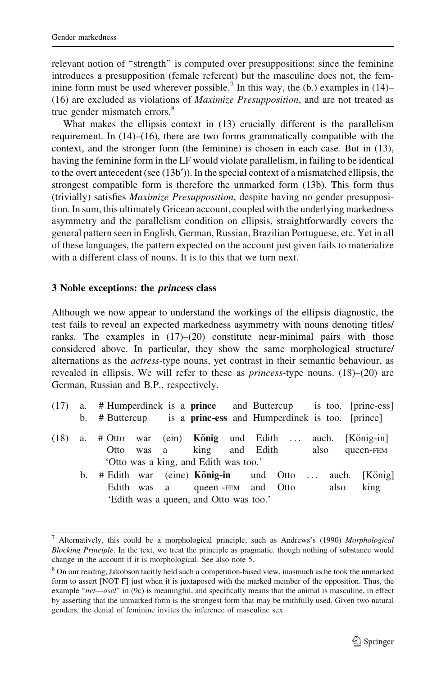relevant notion of "strength" is computed over presuppositions: since the feminine introduces a presupposition (female referent) but the masculine does not, the feminine form must be used wherever possible.<sup>7</sup> In this way, the (b.) examples in  $(14)$ – (16) are excluded as violations of Maximize Presupposition, and are not treated as true gender mismatch errors.<sup>8</sup>

What makes the ellipsis context in (13) crucially different is the parallelism requirement. In (14)–(16), there are two forms grammatically compatible with the context, and the stronger form (the feminine) is chosen in each case. But in (13), having the feminine form in the LF would violate parallelism, in failing to be identical to the overt antecedent (see  $(13b')$ ). In the special context of a mismatched ellipsis, the strongest compatible form is therefore the unmarked form (13b). This form thus (trivially) satisfies Maximize Presupposition, despite having no gender presupposition. In sum, this ultimately Gricean account, coupled with the underlying markedness asymmetry and the parallelism condition on ellipsis, straightforwardly covers the general pattern seen in English, German, Russian, Brazilian Portuguese, etc. Yet in all of these languages, the pattern expected on the account just given fails to materialize with a different class of nouns. It is to this that we turn next.

#### 3 Noble exceptions: the princess class

Although we now appear to understand the workings of the ellipsis diagnostic, the test fails to reveal an expected markedness asymmetry with nouns denoting titles/ ranks. The examples in  $(17)–(20)$  constitute near-minimal pairs with those considered above. In particular, they show the same morphological structure/ alternations as the actress-type nouns, yet contrast in their semantic behaviour, as revealed in ellipsis. We will refer to these as *princess*-type nouns. (18)–(20) are German, Russian and B.P., respectively.

|  | $(17)$ a. # Humperdinck is a <b>prince</b> and Buttercup |  |  |                                                        |  | is too. [princ-ess] |
|--|----------------------------------------------------------|--|--|--------------------------------------------------------|--|---------------------|
|  | b. # Buttercup                                           |  |  | is a <b>princ-ess</b> and Humperdinck is too. [prince] |  |                     |

- $(18)$  a. # Otto war (ein) **König** und Edith ... auch. [König-in] Otto was a king and Edith also queen-FEM 'Otto was a king, and Edith was too.'
	- b. # Edith war (eine) **König-in** und Otto ... auch. [König] Edith was a queen -FEM and Otto also king 'Edith was a queen, and Otto was too.'

<sup>&</sup>lt;sup>7</sup> Alternatively, this could be a morphological principle, such as Andrews's (1990) Morphological Blocking Principle. In the text, we treat the principle as pragmatic, though nothing of substance would change in the account if it is morphological. See also note 5.

<sup>&</sup>lt;sup>8</sup> On our reading, Jakobson tacitly held such a competition-based view, inasmuch as he took the unmarked form to assert [NOT F] just when it is juxtaposed with the marked member of the opposition. Thus, the example "net—osel" in (9c) is meaningful, and specifically means that the animal is masculine, in effect by asserting that the unmarked form is the strongest form that may be truthfully used. Given two natural genders, the denial of feminine invites the inference of masculine sex.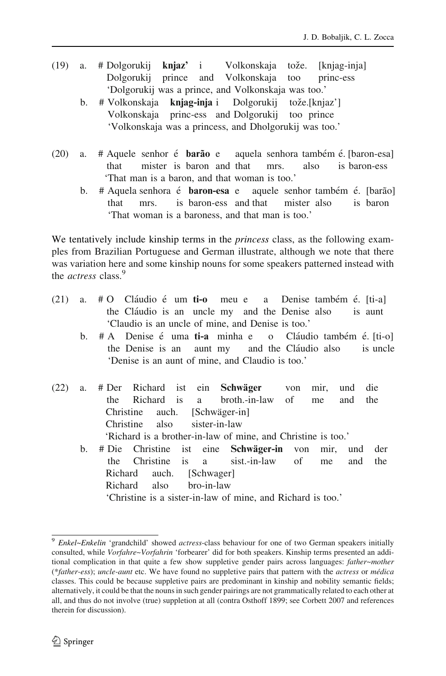- (19) a. # Dolgorukij  $\text{knjaz'}$  i Volkonskaja tože. [knjag-inja] Dolgorukij prince and Volkonskaja too princ-ess 'Dolgorukij was a prince, and Volkonskaja was too.'
	- b. # Volkonskaja **knjag-inja** i Dolgorukij tože.[knjaz'] Volkonskaja princ-ess and Dolgorukij too prince 'Volkonskaja was a princess, and Dholgorukij was too.'
- (20) a. # Aquele senhor é **barão** e aquela senhora também é. [baron-esa] that mister is baron and that mrs. also is baron-ess 'That man is a baron, and that woman is too.'
	- b. # Aquela senhora é **baron-esa** e aquele senhor também é. [barão] that mrs. is baron-ess and that mister also is baron 'That woman is a baroness, and that man is too.'

We tentatively include kinship terms in the *princess* class, as the following examples from Brazilian Portuguese and German illustrate, although we note that there was variation here and some kinship nouns for some speakers patterned instead with the *actress* class.<sup>9</sup>

- $(21)$  a. # O Claudio e´ um ti-o meu e a Denise também e $\epsilon$ . [ti-a] the Cláudio is an uncle my and the Denise also is aunt 'Claudio is an uncle of mine, and Denise is too.'
	- b.  $# A$  Denise é uma ti-a minha e o Cláudio também é [ti-o] the Denise is an aunt my and the Cláudio also is uncle 'Denise is an aunt of mine, and Claudio is too.'
- (22) a. # Der Richard ist ein Schwäger von mir, und die the Richard is a broth.-in-law of me and the Christine auch. [Schwäger-in] Christine also sister-in-law 'Richard is a brother-in-law of mine, and Christine is too.'
	- b. # Die Christine ist eine Schwäger-in von mir, und der the Christine is a sist.-in-law of me and the Richard auch. [Schwager] Richard also bro-in-law 'Christine is a sister-in-law of mine, and Richard is too.'

 $9$  Enkel~Enkelin 'grandchild' showed *actress*-class behaviour for one of two German speakers initially consulted, while Vorfahre~Vorfahrin 'forbearer' did for both speakers. Kinship terms presented an additional complication in that quite a few show suppletive gender pairs across languages: father~mother (\*father-ess); uncle-aunt etc. We have found no suppletive pairs that pattern with the actress or médica classes. This could be because suppletive pairs are predominant in kinship and nobility semantic fields; alternatively, it could be that the nouns in such gender pairings are not grammatically related to each other at all, and thus do not involve (true) suppletion at all (contra Osthoff 1899; see Corbett 2007 and references therein for discussion).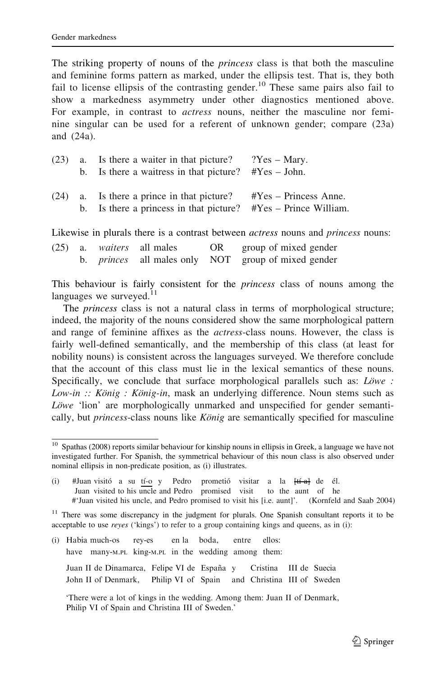The striking property of nouns of the *princess* class is that both the masculine and feminine forms pattern as marked, under the ellipsis test. That is, they both fail to license ellipsis of the contrasting gender.<sup>10</sup> These same pairs also fail to show a markedness asymmetry under other diagnostics mentioned above. For example, in contrast to *actress* nouns, neither the masculine nor feminine singular can be used for a referent of unknown gender; compare (23a) and (24a).

|  | $(23)$ a. Is there a waiter in that picture?<br>b. Is there a waitress in that picture? $\#Yes - John$ .         | $?Yes - Mary.$           |
|--|------------------------------------------------------------------------------------------------------------------|--------------------------|
|  | $(24)$ a. Is there a prince in that picture?<br>b. Is there a princess in that picture? $#Yes - Prince$ William. | $\#Yes - Princess$ Anne. |

Likewise in plurals there is a contrast between *actress* nouns and *princess* nouns:

|  | $(25)$ a. <i>waiters</i> all males | OR | group of mixed gender                                      |
|--|------------------------------------|----|------------------------------------------------------------|
|  |                                    |    | b. <i>princes</i> all males only NOT group of mixed gender |

This behaviour is fairly consistent for the princess class of nouns among the languages we surveyed. $11$ 

The princess class is not a natural class in terms of morphological structure; indeed, the majority of the nouns considered show the same morphological pattern and range of feminine affixes as the actress-class nouns. However, the class is fairly well-defined semantically, and the membership of this class (at least for nobility nouns) is consistent across the languages surveyed. We therefore conclude that the account of this class must lie in the lexical semantics of these nouns. Specifically, we conclude that surface morphological parallels such as: Löwe : Low-in  $::$  König : König-in, mask an underlying difference. Noun stems such as Löwe 'lion' are morphologically unmarked and unspecified for gender semantically, but *princess*-class nouns like  $K\ddot{o}niq$  are semantically specified for masculine

<sup>11</sup> There was some discrepancy in the judgment for plurals. One Spanish consultant reports it to be acceptable to use reyes ('kings') to refer to a group containing kings and queens, as in (i):

(i) Habı´a much-os rey-es en la boda, entre ellos: have many-M.PL king-M.PL in the wedding among them:

Juan II de Dinamarca, Felipe VI de España y Cristina III de Suecia John II of Denmark, Philip VI of Spain and Christina III of Sweden

 $10$  Spathas (2008) reports similar behaviour for kinship nouns in ellipsis in Greek, a language we have not investigated further. For Spanish, the symmetrical behaviour of this noun class is also observed under nominal ellipsis in non-predicate position, as (i) illustrates.

<sup>(</sup>i) #Juan visito a su  $\frac{t_i'}{c}$  y Pedro prometio<sup>i</sup> visitar a la  $\frac{t_i'}{c}$  de él.<br>Juan visited to his uncle and Pedro promised visit to the aunt of he Juan visited to his uncle and Pedro promised visit #'Juan visited his uncle, and Pedro promised to visit his [i.e. aunt]'. (Kornfeld and Saab 2004)

<sup>&#</sup>x27;There were a lot of kings in the wedding. Among them: Juan II of Denmark, Philip VI of Spain and Christina III of Sweden.'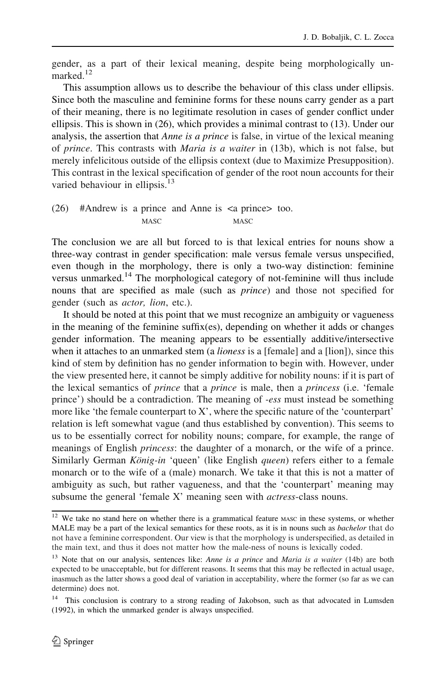gender, as a part of their lexical meaning, despite being morphologically unmarked.<sup>12</sup>

This assumption allows us to describe the behaviour of this class under ellipsis. Since both the masculine and feminine forms for these nouns carry gender as a part of their meaning, there is no legitimate resolution in cases of gender conflict under ellipsis. This is shown in (26), which provides a minimal contrast to (13). Under our analysis, the assertion that *Anne is a prince* is false, in virtue of the lexical meaning of prince. This contrasts with Maria is a waiter in (13b), which is not false, but merely infelicitous outside of the ellipsis context (due to Maximize Presupposition). This contrast in the lexical specification of gender of the root noun accounts for their varied behaviour in ellipsis.<sup>13</sup>

(26) #Andrew is a prince and Anne is <a prince> too. MASC MASC

The conclusion we are all but forced to is that lexical entries for nouns show a three-way contrast in gender specification: male versus female versus unspecified, even though in the morphology, there is only a two-way distinction: feminine versus unmarked.<sup>14</sup> The morphological category of not-feminine will thus include nouns that are specified as male (such as prince) and those not specified for gender (such as actor, lion, etc.).

It should be noted at this point that we must recognize an ambiguity or vagueness in the meaning of the feminine suffix(es), depending on whether it adds or changes gender information. The meaning appears to be essentially additive/intersective when it attaches to an unmarked stem (a *lioness* is a [female] and a [lion]), since this kind of stem by definition has no gender information to begin with. However, under the view presented here, it cannot be simply additive for nobility nouns: if it is part of the lexical semantics of prince that a prince is male, then a princess (i.e. 'female prince') should be a contradiction. The meaning of -ess must instead be something more like 'the female counterpart to X', where the specific nature of the 'counterpart' relation is left somewhat vague (and thus established by convention). This seems to us to be essentially correct for nobility nouns; compare, for example, the range of meanings of English *princess*: the daughter of a monarch, or the wife of a prince. Similarly German *König-in* 'queen' (like English *queen*) refers either to a female monarch or to the wife of a (male) monarch. We take it that this is not a matter of ambiguity as such, but rather vagueness, and that the 'counterpart' meaning may subsume the general 'female X' meaning seen with *actress*-class nouns.

<sup>&</sup>lt;sup>12</sup> We take no stand here on whether there is a grammatical feature MASC in these systems, or whether MALE may be a part of the lexical semantics for these roots, as it is in nouns such as *bachelor* that do not have a feminine correspondent. Our view is that the morphology is underspecified, as detailed in the main text, and thus it does not matter how the male-ness of nouns is lexically coded.

<sup>&</sup>lt;sup>13</sup> Note that on our analysis, sentences like: Anne is a prince and Maria is a waiter (14b) are both expected to be unacceptable, but for different reasons. It seems that this may be reflected in actual usage, inasmuch as the latter shows a good deal of variation in acceptability, where the former (so far as we can determine) does not.

<sup>&</sup>lt;sup>14</sup> This conclusion is contrary to a strong reading of Jakobson, such as that advocated in Lumsden (1992), in which the unmarked gender is always unspecified.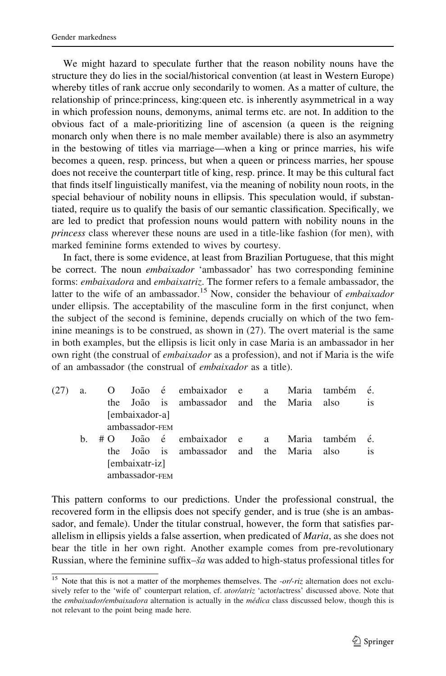We might hazard to speculate further that the reason nobility nouns have the structure they do lies in the social/historical convention (at least in Western Europe) whereby titles of rank accrue only secondarily to women. As a matter of culture, the relationship of prince:princess, king:queen etc. is inherently asymmetrical in a way in which profession nouns, demonyms, animal terms etc. are not. In addition to the obvious fact of a male-prioritizing line of ascension (a queen is the reigning monarch only when there is no male member available) there is also an asymmetry in the bestowing of titles via marriage—when a king or prince marries, his wife becomes a queen, resp. princess, but when a queen or princess marries, her spouse does not receive the counterpart title of king, resp. prince. It may be this cultural fact that finds itself linguistically manifest, via the meaning of nobility noun roots, in the special behaviour of nobility nouns in ellipsis. This speculation would, if substantiated, require us to qualify the basis of our semantic classification. Specifically, we are led to predict that profession nouns would pattern with nobility nouns in the princess class wherever these nouns are used in a title-like fashion (for men), with marked feminine forms extended to wives by courtesy.

In fact, there is some evidence, at least from Brazilian Portuguese, that this might be correct. The noun *embaixador* 'ambassador' has two corresponding feminine forms: embaixadora and embaixatriz. The former refers to a female ambassador, the latter to the wife of an ambassador.<sup>15</sup> Now, consider the behaviour of *embaixador* under ellipsis. The acceptability of the masculine form in the first conjunct, when the subject of the second is feminine, depends crucially on which of the two feminine meanings is to be construed, as shown in (27). The overt material is the same in both examples, but the ellipsis is licit only in case Maria is an ambassador in her own right (the construal of *embaixador* as a profession), and not if Maria is the wife of an ambassador (the construal of embaixador as a title).

| (27) | a.      | $\Omega$ |                | João é embaixador e a                 |  |       | Maria também | é.            |
|------|---------|----------|----------------|---------------------------------------|--|-------|--------------|---------------|
|      |         | the      |                | João is ambassador and the Maria also |  |       |              | <b>1S</b>     |
|      |         |          | [embaixador-a] |                                       |  |       |              |               |
|      |         |          | ambassador-FEM |                                       |  |       |              |               |
|      | $h_{-}$ | #O       |                | João é embaixador e a                 |  | Maria | também       | é.            |
|      |         | the      |                | João is ambassador and the Maria also |  |       |              | <sup>is</sup> |
|      |         |          | [embaixatr-iz] |                                       |  |       |              |               |
|      |         |          | ambassador-FEM |                                       |  |       |              |               |
|      |         |          |                |                                       |  |       |              |               |

This pattern conforms to our predictions. Under the professional construal, the recovered form in the ellipsis does not specify gender, and is true (she is an ambassador, and female). Under the titular construal, however, the form that satisfies parallelism in ellipsis yields a false assertion, when predicated of *Maria*, as she does not bear the title in her own right. Another example comes from pre-revolutionary Russian, where the feminine suffix–ša was added to high-status professional titles for

<sup>&</sup>lt;sup>15</sup> Note that this is not a matter of the morphemes themselves. The  $-or/riz$  alternation does not exclusively refer to the 'wife of' counterpart relation, cf. ator/atriz 'actor/actress' discussed above. Note that the embaixador/embaixadora alternation is actually in the médica class discussed below, though this is not relevant to the point being made here.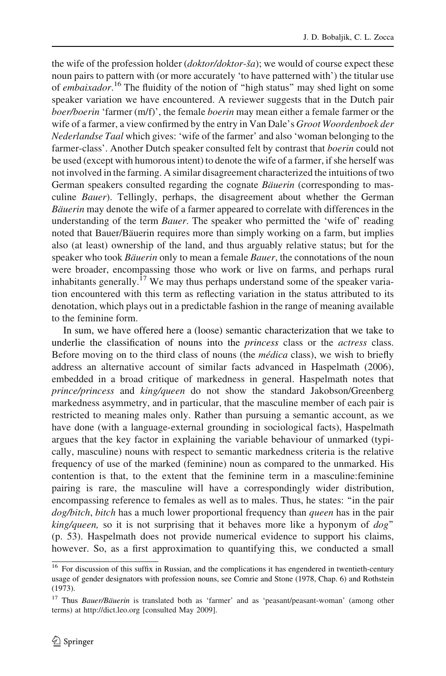the wife of the profession holder (*doktor/doktor-ša*); we would of course expect these noun pairs to pattern with (or more accurately 'to have patterned with') the titular use of embaixador.<sup>16</sup> The fluidity of the notion of "high status" may shed light on some speaker variation we have encountered. A reviewer suggests that in the Dutch pair boer/boerin 'farmer (m/f)', the female boerin may mean either a female farmer or the wife of a farmer, a view confirmed by the entry in Van Dale's Groot Woordenboek der Nederlandse Taal which gives: 'wife of the farmer' and also 'woman belonging to the farmer-class'. Another Dutch speaker consulted felt by contrast that *boerin* could not be used (except with humorous intent) to denote the wife of a farmer, if she herself was not involved in the farming. A similar disagreement characterized the intuitions of two German speakers consulted regarding the cognate Bäuerin (corresponding to masculine *Bauer*). Tellingly, perhaps, the disagreement about whether the German Bäuerin may denote the wife of a farmer appeared to correlate with differences in the understanding of the term *Bauer*. The speaker who permitted the 'wife of' reading noted that Bauer/Bäuerin requires more than simply working on a farm, but implies also (at least) ownership of the land, and thus arguably relative status; but for the speaker who took Bäuerin only to mean a female Bauer, the connotations of the noun were broader, encompassing those who work or live on farms, and perhaps rural inhabitants generally.<sup>17</sup> We may thus perhaps understand some of the speaker variation encountered with this term as reflecting variation in the status attributed to its denotation, which plays out in a predictable fashion in the range of meaning available to the feminine form.

In sum, we have offered here a (loose) semantic characterization that we take to underlie the classification of nouns into the *princess* class or the *actress* class. Before moving on to the third class of nouns (the *médica* class), we wish to briefly address an alternative account of similar facts advanced in Haspelmath (2006), embedded in a broad critique of markedness in general. Haspelmath notes that prince/princess and king/queen do not show the standard Jakobson/Greenberg markedness asymmetry, and in particular, that the masculine member of each pair is restricted to meaning males only. Rather than pursuing a semantic account, as we have done (with a language-external grounding in sociological facts), Haspelmath argues that the key factor in explaining the variable behaviour of unmarked (typically, masculine) nouns with respect to semantic markedness criteria is the relative frequency of use of the marked (feminine) noun as compared to the unmarked. His contention is that, to the extent that the feminine term in a masculine:feminine pairing is rare, the masculine will have a correspondingly wider distribution, encompassing reference to females as well as to males. Thus, he states: ''in the pair dog/bitch, bitch has a much lower proportional frequency than queen has in the pair  $king/queen$ , so it is not surprising that it behaves more like a hyponym of  $dog$ " (p. 53). Haspelmath does not provide numerical evidence to support his claims, however. So, as a first approximation to quantifying this, we conducted a small

<sup>&</sup>lt;sup>16</sup> For discussion of this suffix in Russian, and the complications it has engendered in twentieth-century usage of gender designators with profession nouns, see Comrie and Stone (1978, Chap. 6) and Rothstein (1973).

<sup>&</sup>lt;sup>17</sup> Thus *Bauer/Bäuerin* is translated both as 'farmer' and as 'peasant/peasant-woman' (among other terms) at http://dict.leo.org [consulted May 2009].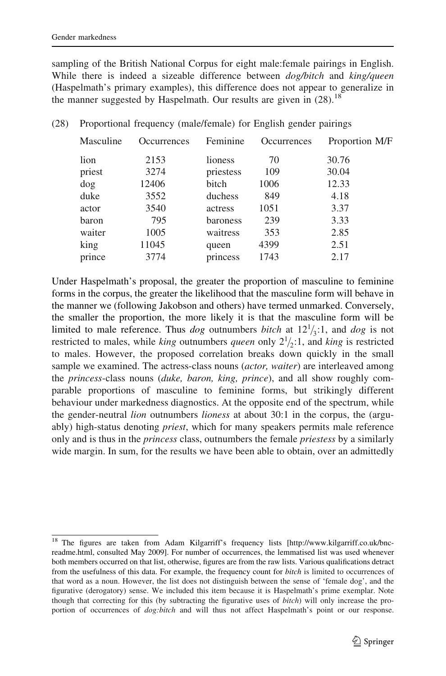sampling of the British National Corpus for eight male:female pairings in English. While there is indeed a sizeable difference between  $dog/bitch$  and  $king/queen$ (Haspelmath's primary examples), this difference does not appear to generalize in the manner suggested by Haspelmath. Our results are given in  $(28)$ .<sup>18</sup>

| Masculine | <b>Occurrences</b> | Feminine  | <b>Occurrences</b> | Proportion M/F |
|-----------|--------------------|-----------|--------------------|----------------|
| lion      | 2153               | lioness   | 70                 | 30.76          |
| priest    | 3274               | priestess | 109                | 30.04          |
| dog       | 12406              | bitch     | 1006               | 12.33          |
| duke      | 3552               | duchess   | 849                | 4.18           |
| actor     | 3540               | actress   | 1051               | 3.37           |
| baron     | 795                | baroness  | 239                | 3.33           |
| waiter    | 1005               | waitress  | 353                | 2.85           |
| king      | 11045              | queen     | 4399               | 2.51           |
| prince    | 3774               | princess  | 1743               | 2.17           |
|           |                    |           |                    |                |

|  |  |  | (28) Proportional frequency (male/female) for English gender pairings |  |  |  |
|--|--|--|-----------------------------------------------------------------------|--|--|--|
|--|--|--|-----------------------------------------------------------------------|--|--|--|

Under Haspelmath's proposal, the greater the proportion of masculine to feminine forms in the corpus, the greater the likelihood that the masculine form will behave in the manner we (following Jakobson and others) have termed unmarked. Conversely, the smaller the proportion, the more likely it is that the masculine form will be limited to male reference. Thus *dog* outnumbers *bitch* at  $12^{1/3}$ :1, and *dog* is not restricted to males, while *king* outnumbers *queen* only  $2^{1}/_{2}$ :1, and *king* is restricted to males. However, the proposed correlation breaks down quickly in the small sample we examined. The actress-class nouns (*actor, waiter*) are interleaved among the princess-class nouns (duke, baron, king, prince), and all show roughly comparable proportions of masculine to feminine forms, but strikingly different behaviour under markedness diagnostics. At the opposite end of the spectrum, while the gender-neutral *lion* outnumbers *lioness* at about 30:1 in the corpus, the (arguably) high-status denoting *priest*, which for many speakers permits male reference only and is thus in the *princess* class, outnumbers the female *priestess* by a similarly wide margin. In sum, for the results we have been able to obtain, over an admittedly

<sup>&</sup>lt;sup>18</sup> The figures are taken from Adam Kilgarriff's frequency lists [http://www.kilgarriff.co.uk/bncreadme.html, consulted May 2009]. For number of occurrences, the lemmatised list was used whenever both members occurred on that list, otherwise, figures are from the raw lists. Various qualifications detract from the usefulness of this data. For example, the frequency count for *bitch* is limited to occurrences of that word as a noun. However, the list does not distinguish between the sense of 'female dog', and the figurative (derogatory) sense. We included this item because it is Haspelmath's prime exemplar. Note though that correcting for this (by subtracting the figurative uses of bitch) will only increase the proportion of occurrences of *dog:bitch* and will thus not affect Haspelmath's point or our response.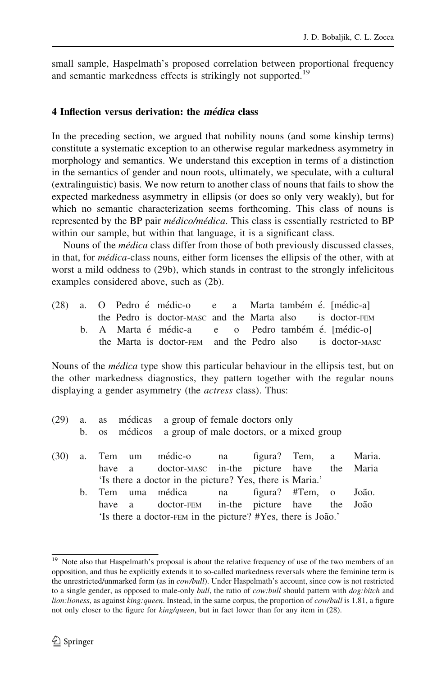small sample, Haspelmath's proposed correlation between proportional frequency and semantic markedness effects is strikingly not supported.<sup>19</sup>

### 4 Inflection versus derivation: the *médica* class

In the preceding section, we argued that nobility nouns (and some kinship terms) constitute a systematic exception to an otherwise regular markedness asymmetry in morphology and semantics. We understand this exception in terms of a distinction in the semantics of gender and noun roots, ultimately, we speculate, with a cultural (extralinguistic) basis. We now return to another class of nouns that fails to show the expected markedness asymmetry in ellipsis (or does so only very weakly), but for which no semantic characterization seems forthcoming. This class of nouns is represented by the BP pair *médico/médica*. This class is essentially restricted to BP within our sample, but within that language, it is a significant class.

Nouns of the *médica* class differ from those of both previously discussed classes, in that, for *médica*-class nouns, either form licenses the ellipsis of the other, with at worst a mild oddness to (29b), which stands in contrast to the strongly infelicitous examples considered above, such as (2b).

|  |  | (28) a. O Pedro é médic-o e a Marta também é [médic-a]    |  |  |  |
|--|--|-----------------------------------------------------------|--|--|--|
|  |  | the Pedro is doctor-masc and the Marta also is doctor-FEM |  |  |  |
|  |  | b. A Marta é médic-a e o Pedro também é [médic-o]         |  |  |  |
|  |  | the Marta is doctor-FEM and the Pedro also is doctor-MASC |  |  |  |

Nouns of the *médica* type show this particular behaviour in the ellipsis test, but on the other markedness diagnostics, they pattern together with the regular nouns displaying a gender asymmetry (the *actress* class). Thus:

(29) a. as médicas a group of female doctors only b. os médicos a group of male doctors, or a mixed group

|  |  | (30) a. Tem um médic-o na figura? Tem, a Maria.              |  |  |  |
|--|--|--------------------------------------------------------------|--|--|--|
|  |  | have a doctor-masc in-the picture have the Maria             |  |  |  |
|  |  | 'Is there a doctor in the picture? Yes, there is Maria.'     |  |  |  |
|  |  | b. Tem uma médica ha figura? #Tem, o João.                   |  |  |  |
|  |  | have a doctor-FEM in-the picture have the João               |  |  |  |
|  |  | 'Is there a doctor-FEM in the picture? #Yes, there is João.' |  |  |  |

<sup>&</sup>lt;sup>19</sup> Note also that Haspelmath's proposal is about the relative frequency of use of the two members of an opposition, and thus he explicitly extends it to so-called markedness reversals where the feminine term is the unrestricted/unmarked form (as in *cow/bull*). Under Haspelmath's account, since cow is not restricted to a single gender, as opposed to male-only bull, the ratio of cow: bull should pattern with dog: bitch and lion: lioness, as against king: queen. Instead, in the same corpus, the proportion of cow/bull is 1.81, a figure not only closer to the figure for *king/queen*, but in fact lower than for any item in (28).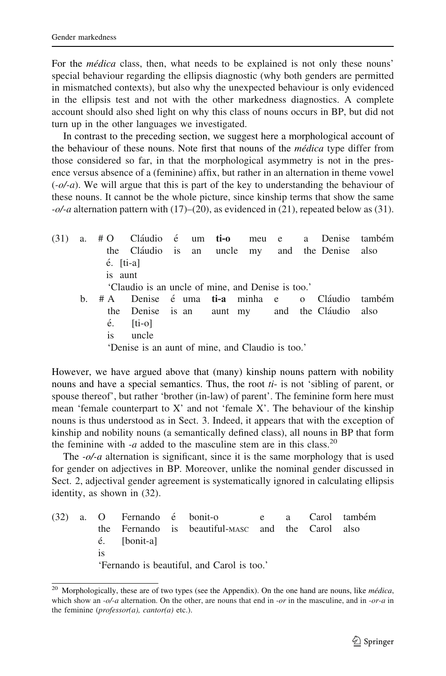For the médica class, then, what needs to be explained is not only these nouns' special behaviour regarding the ellipsis diagnostic (why both genders are permitted in mismatched contexts), but also why the unexpected behaviour is only evidenced in the ellipsis test and not with the other markedness diagnostics. A complete account should also shed light on why this class of nouns occurs in BP, but did not turn up in the other languages we investigated.

In contrast to the preceding section, we suggest here a morphological account of the behaviour of these nouns. Note first that nouns of the *médica* type differ from those considered so far, in that the morphological asymmetry is not in the presence versus absence of a (feminine) affix, but rather in an alternation in theme vowel  $(-\alpha/\alpha)$ . We will argue that this is part of the key to understanding the behaviour of these nouns. It cannot be the whole picture, since kinship terms that show the same  $-\frac{o}{a}$  alternation pattern with (17)–(20), as evidenced in (21), repeated below as (31).

 $(31)$  a.  $#O$  Cláudio é um ti-o meu e a Denise também the Cla´udio is an uncle my and the Denise also e´. [ti-a] is aunt 'Claudio is an uncle of mine, and Denise is too.' b. #A Denise é uma ti-a minha e o Cláudio também the Denise is an aunt my and the Cláudio also  $\acute{e}$ . [ti-o] is uncle 'Denise is an aunt of mine, and Claudio is too.'

However, we have argued above that (many) kinship nouns pattern with nobility nouns and have a special semantics. Thus, the root  $t_i$ - is not 'sibling of parent, or spouse thereof', but rather 'brother (in-law) of parent'. The feminine form here must mean 'female counterpart to X' and not 'female X'. The behaviour of the kinship nouns is thus understood as in Sect. 3. Indeed, it appears that with the exception of kinship and nobility nouns (a semantically defined class), all nouns in BP that form the feminine with -a added to the masculine stem are in this class.<sup>20</sup>

The  $-\frac{o}{a}$  alternation is significant, since it is the same morphology that is used for gender on adjectives in BP. Moreover, unlike the nominal gender discussed in Sect. 2, adjectival gender agreement is systematically ignored in calculating ellipsis identity, as shown in (32).

(32) a. O Fernando é bonit-o e a Carol também the Fernando is beautiful-MASC and the Carol also é. [bonit-a] is 'Fernando is beautiful, and Carol is too.'

<sup>&</sup>lt;sup>20</sup> Morphologically, these are of two types (see the Appendix). On the one hand are nouns, like  $m\acute{e}dica$ , which show an  $-\frac{o}{a}$  alternation. On the other, are nouns that end in  $-\frac{o}{a}$  in the masculine, and in  $-\frac{o}{a}$  in the feminine ( $professor(a)$ , cantor(a) etc.).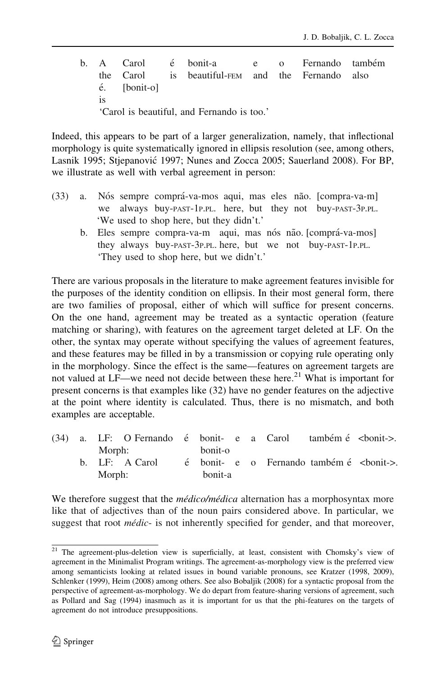b. A Carol é bonit-a e o Fernando também the Carol is beautiful-FEM and the Fernando also  $\acute{e}$ . [bonit-o] is 'Carol is beautiful, and Fernando is too.'

Indeed, this appears to be part of a larger generalization, namely, that inflectional morphology is quite systematically ignored in ellipsis resolution (see, among others, Lasnik 1995; Stjepanović 1997; Nunes and Zocca 2005; Sauerland 2008). For BP, we illustrate as well with verbal agreement in person:

- (33) a. Nós sempre comprá-va-mos aqui, mas eles não. [compra-va-m] we always buy-PAST-1P.PL. here, but they not buy-PAST-3P.PL. 'We used to shop here, but they didn't.'
	- b. Eles sempre compra-va-m aqui, mas nós não. [comprá-va-mos] they always buy-PAST-3P.PL. here, but we not buy-PAST-1P.PL. 'They used to shop here, but we didn't.'

There are various proposals in the literature to make agreement features invisible for the purposes of the identity condition on ellipsis. In their most general form, there are two families of proposal, either of which will suffice for present concerns. On the one hand, agreement may be treated as a syntactic operation (feature matching or sharing), with features on the agreement target deleted at LF. On the other, the syntax may operate without specifying the values of agreement features, and these features may be filled in by a transmission or copying rule operating only in the morphology. Since the effect is the same—features on agreement targets are not valued at LF—we need not decide between these here.<sup>21</sup> What is important for present concerns is that examples like (32) have no gender features on the adjective at the point where identity is calculated. Thus, there is no mismatch, and both examples are acceptable.

|  |        | (34) a. LF: O Fernando é bonit- e a Carol também é <bonit->.</bonit-> |         |  |                                         |  |
|--|--------|-----------------------------------------------------------------------|---------|--|-----------------------------------------|--|
|  | Morph: |                                                                       | bonit-o |  |                                         |  |
|  |        | b. LF: A Carol                                                        |         |  | é bonit- e o Fernando também é<br>><br> |  |
|  | Morph: |                                                                       | bonit-a |  |                                         |  |

We therefore suggest that the *médico/médica* alternation has a morphosyntax more like that of adjectives than of the noun pairs considered above. In particular, we suggest that root *médic*- is not inherently specified for gender, and that moreover,

<sup>&</sup>lt;sup>21</sup> The agreement-plus-deletion view is superficially, at least, consistent with Chomsky's view of agreement in the Minimalist Program writings. The agreement-as-morphology view is the preferred view among semanticists looking at related issues in bound variable pronouns, see Kratzer (1998, 2009), Schlenker (1999), Heim (2008) among others. See also Bobaljik (2008) for a syntactic proposal from the perspective of agreement-as-morphology. We do depart from feature-sharing versions of agreement, such as Pollard and Sag (1994) inasmuch as it is important for us that the phi-features on the targets of agreement do not introduce presuppositions.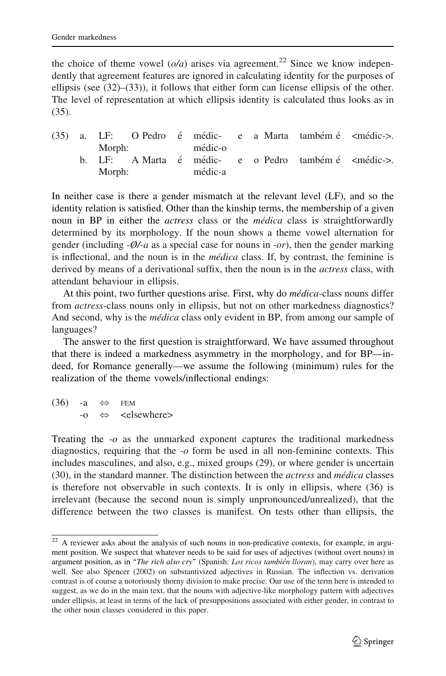the choice of theme vowel  $(o/a)$  arises via agreement.<sup>22</sup> Since we know independently that agreement features are ignored in calculating identity for the purposes of ellipsis (see  $(32)$ – $(33)$ ), it follows that either form can license ellipsis of the other. The level of representation at which ellipsis identity is calculated thus looks as in (35).

|  |        |                |         |  | (35) a. LF: O Pedro é médic- e a Marta também é <médic->.</médic-> |  |
|--|--------|----------------|---------|--|--------------------------------------------------------------------|--|
|  |        | Morph: médic-o |         |  |                                                                    |  |
|  |        |                |         |  | b. LF: A Marta é médic- e o Pedro também é <médic->.</médic->      |  |
|  | Morph: |                | médic-a |  |                                                                    |  |

In neither case is there a gender mismatch at the relevant level (LF), and so the identity relation is satisfied. Other than the kinship terms, the membership of a given noun in BP in either the *actress* class or the *médica* class is straightforwardly determined by its morphology. If the noun shows a theme vowel alternation for gender (including  $-\varnothing$ /-a as a special case for nouns in -or), then the gender marking is inflectional, and the noun is in the *médica* class. If, by contrast, the feminine is derived by means of a derivational suffix, then the noun is in the *actress* class, with attendant behaviour in ellipsis.

At this point, two further questions arise. First, why do *médica*-class nouns differ from actress-class nouns only in ellipsis, but not on other markedness diagnostics? And second, why is the *médica* class only evident in BP, from among our sample of languages?

The answer to the first question is straightforward. We have assumed throughout that there is indeed a markedness asymmetry in the morphology, and for BP—indeed, for Romance generally—we assume the following (minimum) rules for the realization of the theme vowels/inflectional endings:

 $(36)$  -a  $\Leftrightarrow$  FEM  $\rightarrow$   $\Leftrightarrow$  <elsewhere>

Treating the  $-*o*$  as the unmarked exponent captures the traditional markedness diagnostics, requiring that the  $-*o*$  form be used in all non-feminine contexts. This includes masculines, and also, e.g., mixed groups (29), or where gender is uncertain (30), in the standard manner. The distinction between the actress and médica classes is therefore not observable in such contexts. It is only in ellipsis, where (36) is irrelevant (because the second noun is simply unpronounced/unrealized), that the difference between the two classes is manifest. On tests other than ellipsis, the

 $22$  A reviewer asks about the analysis of such nouns in non-predicative contexts, for example, in argument position. We suspect that whatever needs to be said for uses of adjectives (without overt nouns) in argument position, as in "The rich also cry" (Spanish: Los ricos también lloran), may carry over here as well. See also Spencer (2002) on substantivized adjectives in Russian. The inflection vs. derivation contrast is of course a notoriously thorny division to make precise. Our use of the term here is intended to suggest, as we do in the main text, that the nouns with adjective-like morphology pattern with adjectives under ellipsis, at least in terms of the lack of presuppositions associated with either gender, in contrast to the other noun classes considered in this paper.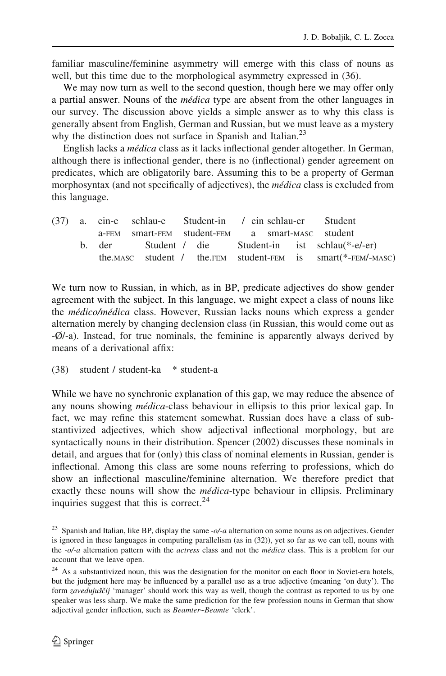familiar masculine/feminine asymmetry will emerge with this class of nouns as well, but this time due to the morphological asymmetry expressed in (36).

We may now turn as well to the second question, though here we may offer only a partial answer. Nouns of the médica type are absent from the other languages in our survey. The discussion above yields a simple answer as to why this class is generally absent from English, German and Russian, but we must leave as a mystery why the distinction does not surface in Spanish and Italian. $^{23}$ 

English lacks a médica class as it lacks inflectional gender altogether. In German, although there is inflectional gender, there is no (inflectional) gender agreement on predicates, which are obligatorily bare. Assuming this to be a property of German morphosyntax (and not specifically of adjectives), the *médica* class is excluded from this language.

|  | (37) a. ein-e schlau-e Student-in / ein schlau-er Student |  |  |  |                                                              |
|--|-----------------------------------------------------------|--|--|--|--------------------------------------------------------------|
|  | a-FEM smart-FEM student-FEM a smart-MASC student          |  |  |  |                                                              |
|  |                                                           |  |  |  | b. der Student / die Student-in ist schlau(*-e/-er)          |
|  |                                                           |  |  |  | the MASC student / the FEM student-FEM is smart(*-FEM/-MASC) |

We turn now to Russian, in which, as in BP, predicate adjectives do show gender agreement with the subject. In this language, we might expect a class of nouns like the *médico/médica* class. However, Russian lacks nouns which express a gender alternation merely by changing declension class (in Russian, this would come out as -Ø/-a). Instead, for true nominals, the feminine is apparently always derived by means of a derivational affix:

(38) student / student-ka \* student-a

While we have no synchronic explanation of this gap, we may reduce the absence of any nouns showing *médica*-class behaviour in ellipsis to this prior lexical gap. In fact, we may refine this statement somewhat. Russian does have a class of substantivized adjectives, which show adjectival inflectional morphology, but are syntactically nouns in their distribution. Spencer (2002) discusses these nominals in detail, and argues that for (only) this class of nominal elements in Russian, gender is inflectional. Among this class are some nouns referring to professions, which do show an inflectional masculine/feminine alternation. We therefore predict that exactly these nouns will show the *médica*-type behaviour in ellipsis. Preliminary inquiries suggest that this is correct. $24$ 

<sup>&</sup>lt;sup>23</sup> Spanish and Italian, like BP, display the same  $-\frac{o}{a}$  alternation on some nouns as on adjectives. Gender is ignored in these languages in computing parallelism (as in (32)), yet so far as we can tell, nouns with the -o/-a alternation pattern with the *actress* class and not the *médica* class. This is a problem for our account that we leave open.

 $24$  As a substantivized noun, this was the designation for the monitor on each floor in Soviet-era hotels, but the judgment here may be influenced by a parallel use as a true adjective (meaning 'on duty'). The form zavedujuščij 'manager' should work this way as well, though the contrast as reported to us by one speaker was less sharp. We make the same prediction for the few profession nouns in German that show adjectival gender inflection, such as Beamter~Beamte 'clerk'.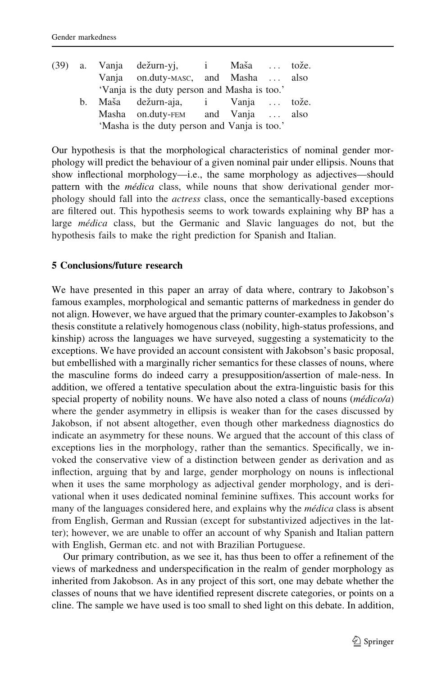|  | (39) a. Vanja dežurn-yj, i Maša  tože.       |  |      |
|--|----------------------------------------------|--|------|
|  | Vanja on.duty-MASC, and Masha                |  | also |
|  | 'Vanja is the duty person and Masha is too.' |  |      |
|  | b. Maša dežurn-aja, i Vanja  tože.           |  |      |
|  | Masha on.duty-FEM and Vanja  also            |  |      |
|  | 'Masha is the duty person and Vanja is too.' |  |      |

Our hypothesis is that the morphological characteristics of nominal gender morphology will predict the behaviour of a given nominal pair under ellipsis. Nouns that show inflectional morphology—i.e., the same morphology as adjectives—should pattern with the *médica* class, while nouns that show derivational gender morphology should fall into the actress class, once the semantically-based exceptions are filtered out. This hypothesis seems to work towards explaining why BP has a large *médica* class, but the Germanic and Slavic languages do not, but the hypothesis fails to make the right prediction for Spanish and Italian.

# 5 Conclusions/future research

We have presented in this paper an array of data where, contrary to Jakobson's famous examples, morphological and semantic patterns of markedness in gender do not align. However, we have argued that the primary counter-examples to Jakobson's thesis constitute a relatively homogenous class (nobility, high-status professions, and kinship) across the languages we have surveyed, suggesting a systematicity to the exceptions. We have provided an account consistent with Jakobson's basic proposal, but embellished with a marginally richer semantics for these classes of nouns, where the masculine forms do indeed carry a presupposition/assertion of male-ness. In addition, we offered a tentative speculation about the extra-linguistic basis for this special property of nobility nouns. We have also noted a class of nouns  $(m\acute{e}dico/a)$ where the gender asymmetry in ellipsis is weaker than for the cases discussed by Jakobson, if not absent altogether, even though other markedness diagnostics do indicate an asymmetry for these nouns. We argued that the account of this class of exceptions lies in the morphology, rather than the semantics. Specifically, we invoked the conservative view of a distinction between gender as derivation and as inflection, arguing that by and large, gender morphology on nouns is inflectional when it uses the same morphology as adjectival gender morphology, and is derivational when it uses dedicated nominal feminine suffixes. This account works for many of the languages considered here, and explains why the *médica* class is absent from English, German and Russian (except for substantivized adjectives in the latter); however, we are unable to offer an account of why Spanish and Italian pattern with English, German etc. and not with Brazilian Portuguese.

Our primary contribution, as we see it, has thus been to offer a refinement of the views of markedness and underspecification in the realm of gender morphology as inherited from Jakobson. As in any project of this sort, one may debate whether the classes of nouns that we have identified represent discrete categories, or points on a cline. The sample we have used is too small to shed light on this debate. In addition,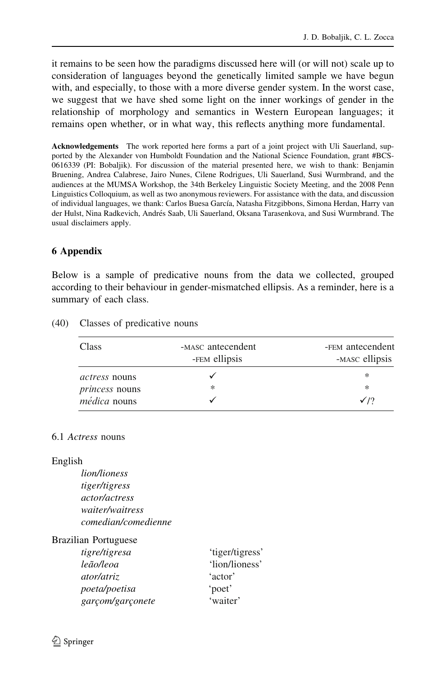it remains to be seen how the paradigms discussed here will (or will not) scale up to consideration of languages beyond the genetically limited sample we have begun with, and especially, to those with a more diverse gender system. In the worst case, we suggest that we have shed some light on the inner workings of gender in the relationship of morphology and semantics in Western European languages; it remains open whether, or in what way, this reflects anything more fundamental.

Acknowledgements The work reported here forms a part of a joint project with Uli Sauerland, supported by the Alexander von Humboldt Foundation and the National Science Foundation, grant #BCS-0616339 (PI: Bobaljik). For discussion of the material presented here, we wish to thank: Benjamin Bruening, Andrea Calabrese, Jairo Nunes, Cilene Rodrigues, Uli Sauerland, Susi Wurmbrand, and the audiences at the MUMSA Workshop, the 34th Berkeley Linguistic Society Meeting, and the 2008 Penn Linguistics Colloquium, as well as two anonymous reviewers. For assistance with the data, and discussion of individual languages, we thank: Carlos Buesa García, Natasha Fitzgibbons, Simona Herdan, Harry van der Hulst, Nina Radkevich, Andrés Saab, Uli Sauerland, Oksana Tarasenkova, and Susi Wurmbrand. The usual disclaimers apply.

# 6 Appendix

Below is a sample of predicative nouns from the data we collected, grouped according to their behaviour in gender-mismatched ellipsis. As a reminder, here is a summary of each class.

| Class                 | -MASC antecendent<br>-FEM ellipsis | -FEM antecendent<br>-MASC ellipsis |
|-----------------------|------------------------------------|------------------------------------|
| <i>actress</i> nouns  |                                    | ∗                                  |
| <i>princess</i> nouns | ∗                                  | ∗                                  |
| <i>médica</i> nouns   |                                    | $\sqrt{2}$                         |

(40) Classes of predicative nouns

# 6.1 Actress nouns

### English

lion/lioness tiger/tigress actor/actress waiter/waitress comedian/comedienne

Brazilian Portuguese

| tigre/tigresa     | 'tiger/tigress' |
|-------------------|-----------------|
| leão/leoa         | 'lion/lioness'  |
| <i>ator/atriz</i> | 'actor'         |
| poeta/poetisa     | 'poet'          |
| garçom/garçonete  | 'waiter'        |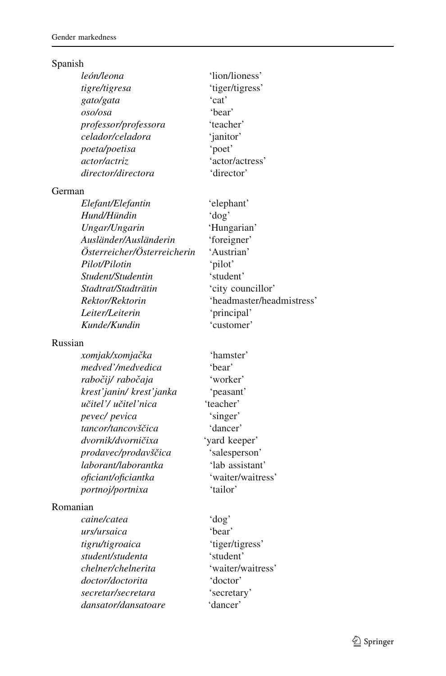# Spanish

| león/leona                  | 'lion/lioness'            |
|-----------------------------|---------------------------|
| tigre/tigresa               | 'tiger/tigress'           |
| gato/gata                   | 'cat'                     |
| oso/osa                     | 'bear'                    |
| professor/professora        | 'teacher'                 |
| celador/celadora            | 'janitor'                 |
| poeta/poetisa               | 'poet'                    |
| actor/actriz                | 'actor/actress'           |
| director/directora          | 'director'                |
| German                      |                           |
| Elefant/Elefantin           | 'elephant'                |
| Hund/Hündin                 | 'dog'                     |
| Ungar/Ungarin               | 'Hungarian'               |
| Ausländer/Ausländerin       | 'foreigner'               |
| Österreicher/Österreicherin | 'Austrian'                |
| Pilot/Pilotin               | 'pilot'                   |
| Student/Studentin           | 'student'                 |
| Stadtrat/Stadträtin         | 'city councillor'         |
| Rektor/Rektorin             | 'headmaster/headmistress' |
| Leiter/Leiterin             | 'principal'               |
| Kunde/Kundin                | 'customer'                |
| Russian                     |                           |
| xomjak/xomjačka             | 'hamster'                 |
| medved'/medvedica           | 'bear'                    |
| rabočij/ rabočaja           | 'worker'                  |
| krest'janin/ krest'janka    | 'peasant'                 |
| učitel'/ učitel'nica        | 'teacher'                 |
| pevec/ pevica               | 'singer'                  |
| tancor/tancovščica          | 'dancer'                  |
|                             |                           |

#### Russ

dvornik/dvorničixa 'yard keeper' prodavec/prodavščica 'salesperson' laborant/laborantka 'lab assistant'<br>
oficiant/oficiantka 'waiter/waitress' oficiant/oficiantka portnoj/portnixa 'tailor'

# Romanian

caine/catea 'dog' urs/ursaica 'bear' tigru/tigroaica 'tiger/tigress' student/studenta 'student' chelner/chelnerita 'waiter/waitress' doctor/doctorita 'doctor' secretar/secretara 'secretary' dansator/dansatoare 'dancer'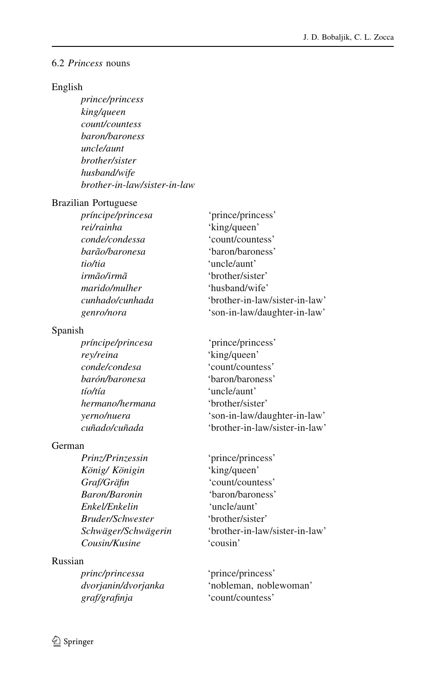#### 6.2 Princess nouns

### English

prince/princess king/queen count/countess baron/baroness uncle/aunt brother/sister husband/wife brother-in-law/sister-in-law

#### Brazilian Portuguese

| príncipe/princesa | 'prince/princess'              |
|-------------------|--------------------------------|
| rei/rainha        | 'king/queen'                   |
| conde/condessa    | 'count/countess'               |
| barão/baronesa    | 'baron/baroness'               |
| tio/tia           | 'uncle/aunt'                   |
| irmão/irmã        | 'brother/sister'               |
| marido/mulher     | 'husband/wife'                 |
| cunhado/cunhada   | 'brother-in-law/sister-in-law' |
| genro/nora        | 'son-in-law/daughter-in-law'   |
|                   |                                |

### Spanish

| principe/princesa |
|-------------------|
| rey/reina         |
| conde/condesa     |
| barón/baronesa    |
| tío/tía           |
| hermano/hermana   |
| yerno/nuera       |
| cuñado/cuñada     |
|                   |

#### German

Prinz/Prinzessin 'prince/princess' König/ Königin 'king/queen' Graf/Gräfin 'count/countess' Baron/Baronin 'baron/baroness' Enkel/Enkelin 'uncle/aunt' Bruder/Schwester 'brother/sister' Cousin/Kusine 'cousin'

### Russian

princ/princessa 'prince/princess' graf/grafinja 'count/countess'

'prince/princess' 'king/queen' 'count/countess' 'baron/baroness' 'uncle/aunt' 'brother/sister' 'son-in-law/daughter-in-law' 'brother-in-law/sister-in-law'

Schwäger/Schwägerin 'brother-in-law/sister-in-law'

dvorjanin/dvorjanka 'nobleman, noblewoman'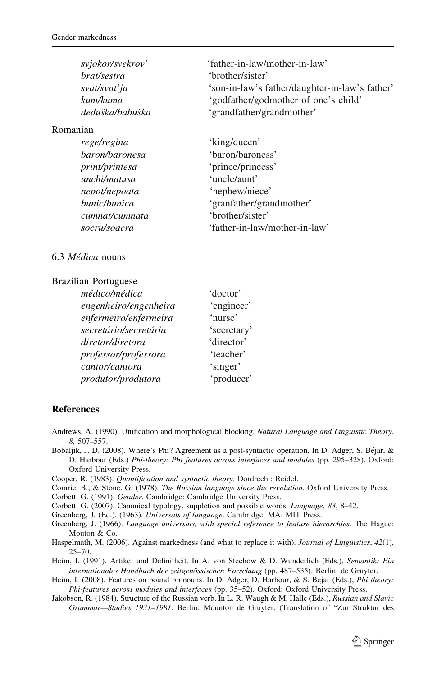| svjokor/svekrov' | 'father-in-law/mother-in-law'                  |
|------------------|------------------------------------------------|
| brat/sestra      | 'brother/sister'                               |
| svat/svat' ja    | 'son-in-law's father/daughter-in-law's father' |
| kum/kuma         | 'godfather/godmother of one's child'           |
| deduška/babuška  | 'grandfather/grandmother'                      |
|                  |                                                |

#### Romanian

| rege/regina    | 'king/queen'                  |
|----------------|-------------------------------|
| baron/baronesa | 'baron/baroness'              |
| print/printesa | 'prince/princess'             |
| unchi/matusa   | 'uncle/aunt'                  |
| nepot/nepoata  | 'nephew/niece'                |
| bunic/bunica   | 'granfather/grandmother'      |
| cumnat/cumnata | 'brother/sister'              |
| socru/soacra   | 'father-in-law/mother-in-law' |
|                |                               |

#### 6.3 Médica nouns

#### Brazilian Portuguese

| médico/médica         | 'doctor'    |
|-----------------------|-------------|
| engenheiro/engenheira | 'engineer'  |
| enfermeiro/enfermeira | 'nurse'     |
| secretário/secretária | 'secretary' |
| diretor/diretora      | 'director'  |
| professor/professora  | 'teacher'   |
| cantor/cantora        | 'singer'    |
| produtor/produtora    | 'producer'  |

#### References

- Andrews, A. (1990). Unification and morphological blocking. Natural Language and Linguistic Theory, 8, 507–557.
- Bobaljik, J. D. (2008). Where's Phi? Agreement as a post-syntactic operation. In D. Adger, S. Béjar, & D. Harbour (Eds.) Phi-theory: Phi features across interfaces and modules (pp. 295–328). Oxford: Oxford University Press.
- Cooper, R. (1983). Quantification and syntactic theory. Dordrecht: Reidel.
- Comrie, B., & Stone. G. (1978). The Russian language since the revolution. Oxford University Press.
- Corbett, G. (1991). Gender. Cambridge: Cambridge University Press.

Corbett, G. (2007). Canonical typology, suppletion and possible words. Language, 83, 8–42.

Greenberg, J. (Ed.). (1963). Universals of language. Cambridge, MA: MIT Press.

- Greenberg, J. (1966). Language universals, with special reference to feature hierarchies. The Hague: Mouton & Co.
- Haspelmath, M. (2006). Against markedness (and what to replace it with). Journal of Linguistics, 42(1), 25–70.

Heim, I. (1991). Artikel und Definitheit. In A. von Stechow & D. Wunderlich (Eds.), Semantik: Ein internationales Handbuch der zeitgenössischen Forschung (pp. 487–535). Berlin: de Gruyter.

- Heim, I. (2008). Features on bound pronouns. In D. Adger, D. Harbour, & S. Bejar (Eds.), *Phi theory:* Phi-features across modules and interfaces (pp. 35–52). Oxford: Oxford University Press.
- Jakobson, R. (1984). Structure of the Russian verb. In L. R. Waugh & M. Halle (Eds.), Russian and Slavic Grammar-Studies 1931-1981. Berlin: Mounton de Gruyter. (Translation of "Zur Struktur des